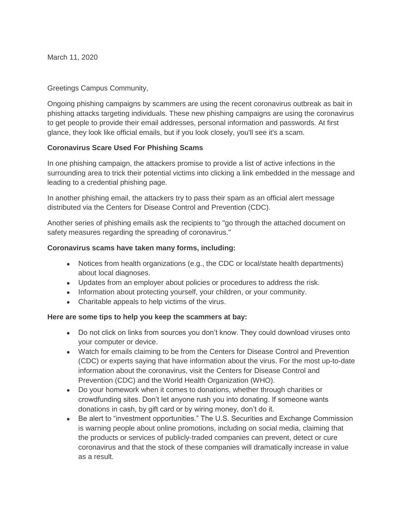March 11, 2020

## Greetings Campus Community,

Ongoing phishing campaigns by scammers are using the recent coronavirus outbreak as bait in phishing attacks targeting individuals. These new phishing campaigns are using the coronavirus to get people to provide their email addresses, personal information and passwords. At first glance, they look like official emails, but if you look closely, you'll see it's a scam.

## **Coronavirus Scare Used For Phishing Scams**

In one phishing campaign, the attackers promise to provide a list of active infections in the surrounding area to trick their potential victims into clicking a link embedded in the message and leading to a credential phishing page.

In another phishing email, the attackers try to pass their spam as an official alert message distributed via the Centers for Disease Control and Prevention (CDC).

Another series of phishing emails ask the recipients to "go through the attached document on safety measures regarding the spreading of coronavirus."

## **Coronavirus scams have taken many forms, including:**

- Notices from health organizations (e.g., the CDC or local/state health departments) about local diagnoses.
- Updates from an employer about policies or procedures to address the risk.
- Information about protecting yourself, your children, or your community.
- Charitable appeals to help victims of the virus.

## **Here are some tips to help you keep the scammers at bay:**

- Do not click on links from sources you don't know. They could download viruses onto your computer or device.
- Watch for emails claiming to be from the Centers for Disease Control and Prevention (CDC) or experts saying that have information about the virus. For the most up-to-date information about the coronavirus, visit the Centers for Disease Control and Prevention (CDC) and the World Health Organization (WHO).
- Do your homework when it comes to donations, whether through charities or crowdfunding sites. Don't let anyone rush you into donating. If someone wants donations in cash, by gift card or by wiring money, don't do it.
- Be alert to "investment opportunities." The U.S. Securities and Exchange Commission is warning people about online promotions, including on social media, claiming that the products or services of publicly-traded companies can prevent, detect or cure coronavirus and that the stock of these companies will dramatically increase in value as a result.